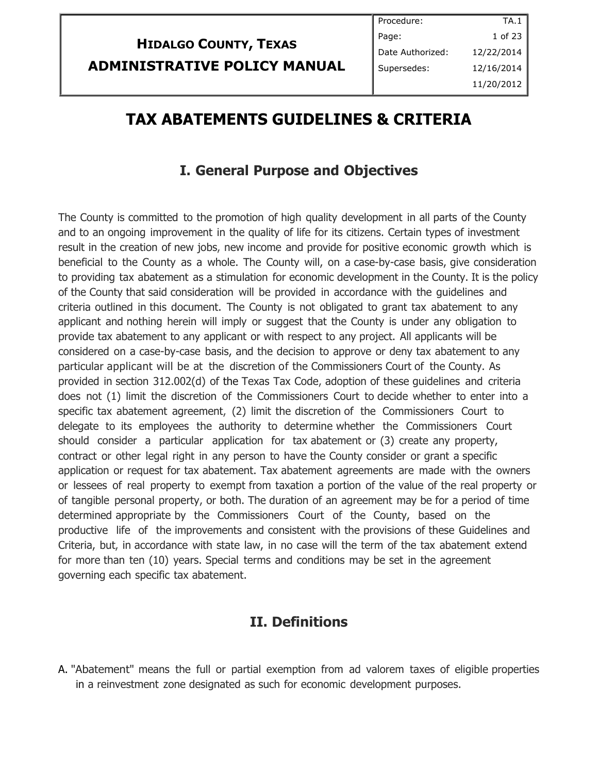# **HIDALGO COUNTY, TEXAS ADMINISTRATIVE POLICY MANUAL**

# **TAX ABATEMENTS GUIDELINES & CRITERIA**

### **I. General Purpose and Objectives**

The County is committed to the promotion of high quality development in all parts of the County and to an ongoing improvement in the quality of life for its citizens. Certain types of investment result in the creation of new jobs, new income and provide for positive economic growth which is beneficial to the County as a whole. The County will, on a case-by-case basis, give consideration to providing tax abatement as a stimulation for economic development in the County. It is the policy of the County that said consideration will be provided in accordance with the guidelines and criteria outlined in this document. The County is not obligated to grant tax abatement to any applicant and nothing herein will imply or suggest that the County is under any obligation to provide tax abatement to any applicant or with respect to any project. All applicants will be considered on a case-by-case basis, and the decision to approve or deny tax abatement to any particular applicant will be at the discretion of the Commissioners Court of the County. As provided in section 312.002(d) of the Texas Tax Code, adoption of these guidelines and criteria does not (1) limit the discretion of the Commissioners Court to decide whether to enter into a specific tax abatement agreement, (2) limit the discretion of the Commissioners Court to delegate to its employees the authority to determine whether the Commissioners Court should consider a particular application for tax abatement or (3) create any property, contract or other legal right in any person to have the County consider or grant a specific application or request for tax abatement. Tax abatement agreements are made with the owners or lessees of real property to exempt from taxation a portion of the value of the real property or of tangible personal property, or both. The duration of an agreement may be for a period of time determined appropriate by the Commissioners Court of the County, based on the productive life of the improvements and consistent with the provisions of these Guidelines and Criteria, but, in accordance with state law, in no case will the term of the tax abatement extend for more than ten (10) years. Special terms and conditions may be set in the agreement governing each specific tax abatement.

#### **II. Definitions**

A. "Abatement" means the full or partial exemption from ad valorem taxes of eligible properties in a reinvestment zone designated as such for economic development purposes.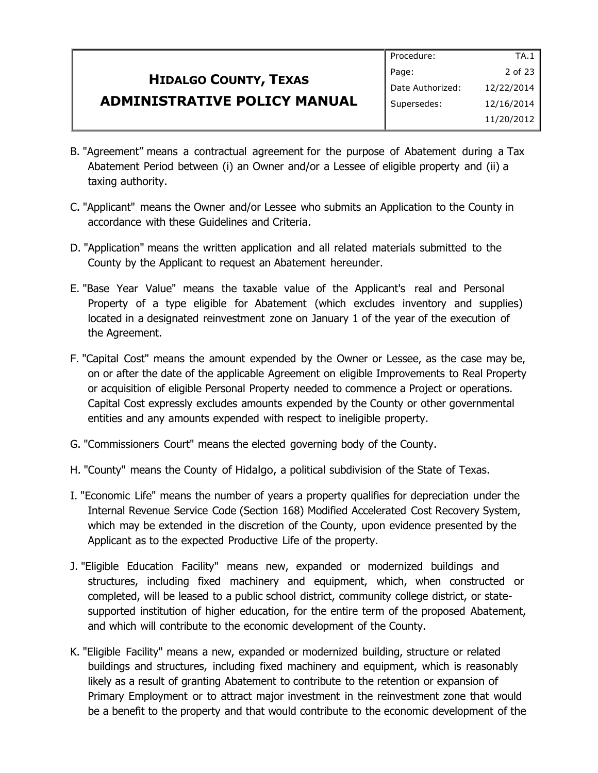#### **HIDALGO COUNTY, TEXAS ADMINISTRATIVE POLICY MANUAL** Page: Date Authorized: Supersedes:

- B. "Agreement" means a contractual agreement for the purpose of Abatement during a Tax Abatement Period between (i) an Owner and/or a Lessee of eligible property and (ii) a taxing authority.
- C. "Applicant" means the Owner and/or Lessee who submits an Application to the County in accordance with these Guidelines and Criteria.
- D. "Application" means the written application and all related materials submitted to the County by the Applicant to request an Abatement hereunder.
- E. "Base Year Value" means the taxable value of the Applicant's real and Personal Property of a type eligible for Abatement (which excludes inventory and supplies) located in a designated reinvestment zone on January 1 of the year of the execution of the Agreement.
- F. "Capital Cost" means the amount expended by the Owner or Lessee, as the case may be, on or after the date of the applicable Agreement on eligible Improvements to Real Property or acquisition of eligible Personal Property needed to commence a Project or operations. Capital Cost expressly excludes amounts expended by the County or other governmental entities and any amounts expended with respect to ineligible property.
- G. "Commissioners Court" means the elected governing body of the County.
- H. "County" means the County of Hidalgo, a political subdivision of the State of Texas.
- I. "Economic Life" means the number of years a property qualifies for depreciation under the Internal Revenue Service Code (Section 168) Modified Accelerated Cost Recovery System, which may be extended in the discretion of the County, upon evidence presented by the Applicant as to the expected Productive Life of the property.
- J. "Eligible Education Facility" means new, expanded or modernized buildings and structures, including fixed machinery and equipment, which, when constructed or completed, will be leased to a public school district, community college district, or statesupported institution of higher education, for the entire term of the proposed Abatement, and which will contribute to the economic development of the County.
- K. "Eligible Facility" means a new, expanded or modernized building, structure or related buildings and structures, including fixed machinery and equipment, which is reasonably likely as a result of granting Abatement to contribute to the retention or expansion of Primary Employment or to attract major investment in the reinvestment zone that would be a benefit to the property and that would contribute to the economic development of the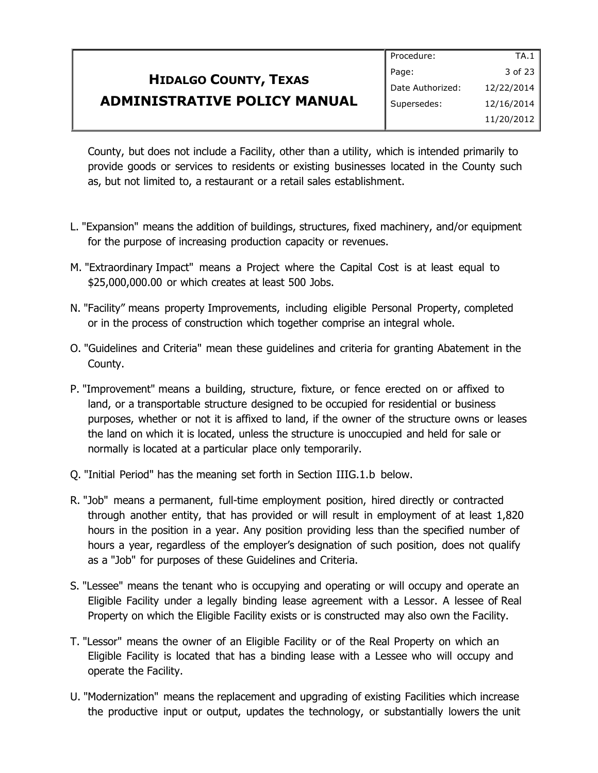## **HIDALGO COUNTY, TEXAS ADMINISTRATIVE POLICY MANUAL**

County, but does not include a Facility, other than a utility, which is intended primarily to provide goods or services to residents or existing businesses located in the County such as, but not limited to, a restaurant or a retail sales establishment.

- L. "Expansion" means the addition of buildings, structures, fixed machinery, and/or equipment for the purpose of increasing production capacity or revenues.
- M. "Extraordinary Impact" means a Project where the Capital Cost is at least equal to \$25,000,000.00 or which creates at least 500 Jobs.
- N. "Facility" means property Improvements, including eligible Personal Property, completed or in the process of construction which together comprise an integral whole.
- O. "Guidelines and Criteria" mean these guidelines and criteria for granting Abatement in the County.
- P. "Improvement" means a building, structure, fixture, or fence erected on or affixed to land, or a transportable structure designed to be occupied for residential or business purposes, whether or not it is affixed to land, if the owner of the structure owns or leases the land on which it is located, unless the structure is unoccupied and held for sale or normally is located at a particular place only temporarily.
- Q. "Initial Period" has the meaning set forth in Section IIIG.1.b below.
- R. "Job" means a permanent, full-time employment position, hired directly or contracted through another entity, that has provided or will result in employment of at least 1,820 hours in the position in a year. Any position providing less than the specified number of hours a year, regardless of the employer's designation of such position, does not qualify as a "Job" for purposes of these Guidelines and Criteria.
- S. "Lessee" means the tenant who is occupying and operating or will occupy and operate an Eligible Facility under a legally binding lease agreement with a Lessor. A lessee of Real Property on which the Eligible Facility exists or is constructed may also own the Facility.
- T. "Lessor" means the owner of an Eligible Facility or of the Real Property on which an Eligible Facility is located that has a binding lease with a Lessee who will occupy and operate the Facility.
- U. "Modernization" means the replacement and upgrading of existing Facilities which increase the productive input or output, updates the technology, or substantially lowers the unit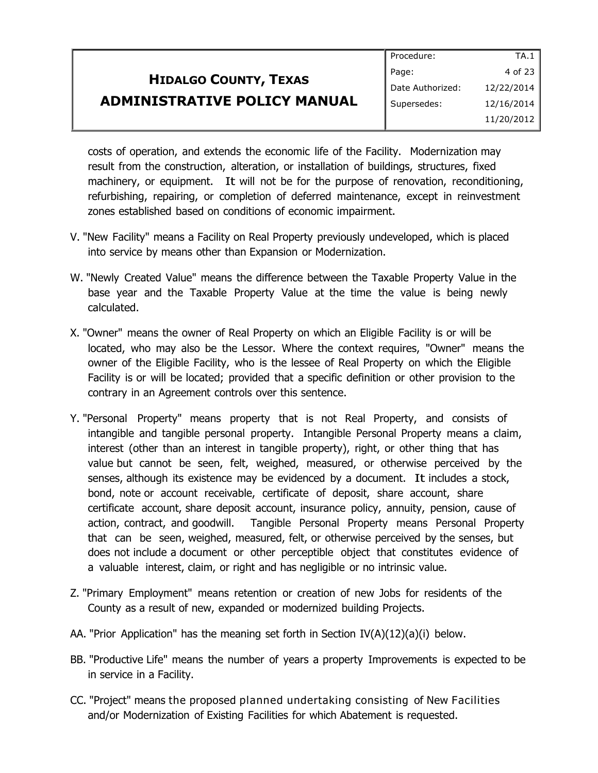|                                     | Procedure:       | TA.1       |
|-------------------------------------|------------------|------------|
| <b>HIDALGO COUNTY, TEXAS</b>        | Page:            | 4 of 23    |
|                                     | Date Authorized: | 12/22/2014 |
| <b>ADMINISTRATIVE POLICY MANUAL</b> | Supersedes:      | 12/16/2014 |
|                                     |                  | 11/20/2012 |

costs of operation, and extends the economic life of the Facility. Modernization may result from the construction, alteration, or installation of buildings, structures, fixed machinery, or equipment. It will not be for the purpose of renovation, reconditioning, refurbishing, repairing, or completion of deferred maintenance, except in reinvestment zones established based on conditions of economic impairment.

- V. "New Facility" means a Facility on Real Property previously undeveloped, which is placed into service by means other than Expansion or Modernization.
- W. "Newly Created Value" means the difference between the Taxable Property Value in the base year and the Taxable Property Value at the time the value is being newly calculated.
- X. "Owner" means the owner of Real Property on which an Eligible Facility is or will be located, who may also be the Lessor. Where the context requires, "Owner" means the owner of the Eligible Facility, who is the lessee of Real Property on which the Eligible Facility is or will be located; provided that a specific definition or other provision to the contrary in an Agreement controls over this sentence.
- Y. "Personal Property" means property that is not Real Property, and consists of intangible and tangible personal property. Intangible Personal Property means a claim, interest (other than an interest in tangible property), right, or other thing that has value but cannot be seen, felt, weighed, measured, or otherwise perceived by the senses, although its existence may be evidenced by a document. It includes a stock, bond, note or account receivable, certificate of deposit, share account, share certificate account, share deposit account, insurance policy, annuity, pension, cause of action, contract, and goodwill. Tangible Personal Property means Personal Property that can be seen, weighed, measured, felt, or otherwise perceived by the senses, but does not include a document or other perceptible object that constitutes evidence of a valuable interest, claim, or right and has negligible or no intrinsic value.
- Z. "Primary Employment" means retention or creation of new Jobs for residents of the County as a result of new, expanded or modernized building Projects.
- AA. "Prior Application" has the meaning set forth in Section  $IV(A)(12)(a)(i)$  below.
- BB. "Productive Life" means the number of years a property Improvements is expected to be in service in a Facility.
- CC. "Project" means the proposed planned undertaking consisting of New Facilities and/or Modernization of Existing Facilities for which Abatement is requested.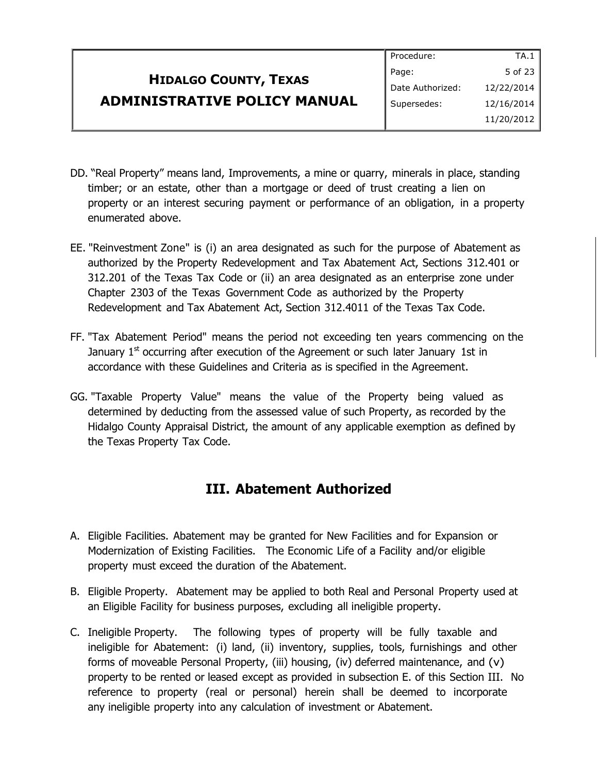#### **HIDALGO COUNTY, TEXAS ADMINISTRATIVE POLICY MANUAL** Procedure: Page: Date Authorized: Supersedes: TA.1 5 of 23 12/22/2014 12/16/2014 11/20/2012

- DD. "Real Property" means land, Improvements, a mine or quarry, minerals in place, standing timber; or an estate, other than a mortgage or deed of trust creating a lien on property or an interest securing payment or performance of an obligation, in a property enumerated above.
- EE. "Reinvestment Zone" is (i) an area designated as such for the purpose of Abatement as authorized by the Property Redevelopment and Tax Abatement Act, Sections 312.401 or 312.201 of the Texas Tax Code or (ii) an area designated as an enterprise zone under Chapter 2303 of the Texas Government Code as authorized by the Property Redevelopment and Tax Abatement Act, Section 312.4011 of the Texas Tax Code.
- FF. "Tax Abatement Period" means the period not exceeding ten years commencing on the January  $1^{\text{st}}$  occurring after execution of the Agreement or such later January 1st in accordance with these Guidelines and Criteria as is specified in the Agreement.
- GG. "Taxable Property Value" means the value of the Property being valued as determined by deducting from the assessed value of such Property, as recorded by the Hidalgo County Appraisal District, the amount of any applicable exemption as defined by the Texas Property Tax Code.

#### **III. Abatement Authorized**

- A. Eligible Facilities. Abatement may be granted for New Facilities and for Expansion or Modernization of Existing Facilities. The Economic Life of a Facility and/or eligible property must exceed the duration of the Abatement.
- B. Eligible Property. Abatement may be applied to both Real and Personal Property used at an Eligible Facility for business purposes, excluding all ineligible property.
- C. Ineligible Property. The following types of property will be fully taxable and ineligible for Abatement: (i) land, (ii) inventory, supplies, tools, furnishings and other forms of moveable Personal Property, (iii) housing, (iv) deferred maintenance, and (v) property to be rented or leased except as provided in subsection E. of this Section III. No reference to property (real or personal) herein shall be deemed to incorporate any ineligible property into any calculation of investment or Abatement.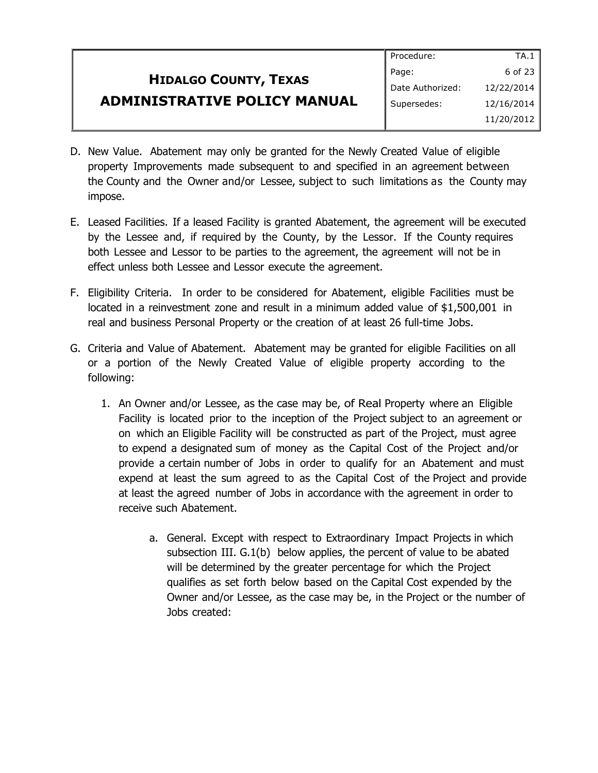#### **HIDALGO COUNTY, TEXAS ADMINISTRATIVE POLICY MANUAL** Procedure: Page: Date Authorized: Supersedes: TA.1 6 of 23 12/22/2014 12/16/2014 11/20/2012

- D. New Value. Abatement may only be granted for the Newly Created Value of eligible property Improvements made subsequent to and specified in an agreement between the County and the Owner and/or Lessee, subject to such limitations as the County may impose.
- E. Leased Facilities. If a leased Facility is granted Abatement, the agreement will be executed by the Lessee and, if required by the County, by the Lessor. If the County requires both Lessee and Lessor to be parties to the agreement, the agreement will not be in effect unless both Lessee and Lessor execute the agreement.
- F. Eligibility Criteria. In order to be considered for Abatement, eligible Facilities must be located in a reinvestment zone and result in a minimum added value of \$1,500,001 in real and business Personal Property or the creation of at least 26 full-time Jobs.
- G. Criteria and Value of Abatement. Abatement may be granted for eligible Facilities on all or a portion of the Newly Created Value of eligible property according to the following:
	- 1. An Owner and/or Lessee, as the case may be, of Real Property where an Eligible Facility is located prior to the inception of the Project subject to an agreement or on which an Eligible Facility will be constructed as part of the Project, must agree to expend a designated sum of money as the Capital Cost of the Project and/or provide a certain number of Jobs in order to qualify for an Abatement and must expend at least the sum agreed to as the Capital Cost of the Project and provide at least the agreed number of Jobs in accordance with the agreement in order to receive such Abatement.
		- a. General. Except with respect to Extraordinary Impact Projects in which subsection III. G.1(b) below applies, the percent of value to be abated will be determined by the greater percentage for which the Project qualifies as set forth below based on the Capital Cost expended by the Owner and/or Lessee, as the case may be, in the Project or the number of Jobs created: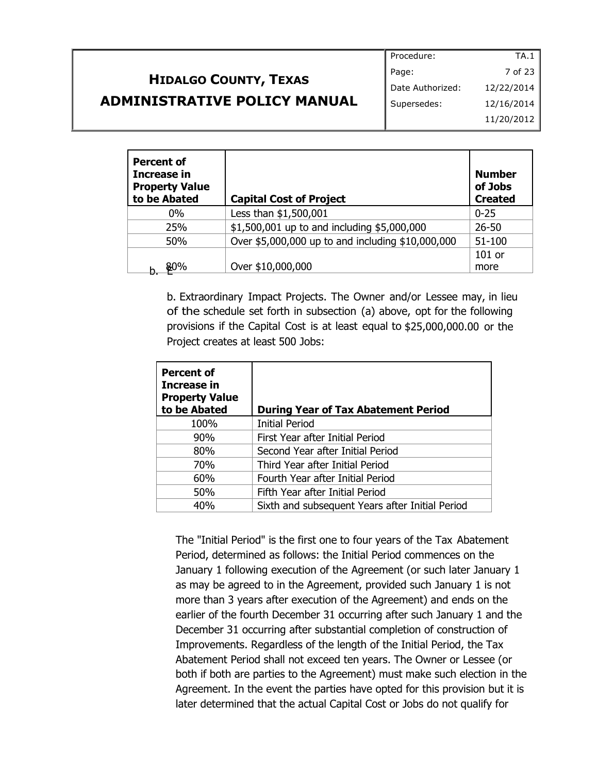## **HIDALGO COUNTY, TEXAS ADMINISTRATIVE POLICY MANUAL**

| Procedure:       | TA.1       |
|------------------|------------|
| Page:            | 7 of 23    |
| Date Authorized: | 12/22/2014 |
| Supersedes:      | 12/16/2014 |
|                  | 11/20/2012 |

| Percent of<br><b>Increase in</b><br><b>Property Value</b><br>to be Abated | <b>Capital Cost of Project</b>                    | <b>Number</b><br>of Jobs<br><b>Created</b> |
|---------------------------------------------------------------------------|---------------------------------------------------|--------------------------------------------|
| $0\%$                                                                     | Less than \$1,500,001                             | $0 - 25$                                   |
| 25%                                                                       | \$1,500,001 up to and including \$5,000,000       | $26 - 50$                                  |
| 50%                                                                       | Over \$5,000,000 up to and including \$10,000,000 | $51 - 100$                                 |
|                                                                           |                                                   | 101 or                                     |
| 80%                                                                       | Over \$10,000,000                                 | more                                       |

b. Extraordinary Impact Projects. The Owner and/or Lessee may, in lieu of the schedule set forth in subsection (a) above, opt for the following provisions if the Capital Cost is at least equal to \$25,000,000.00 or the Project creates at least 500 Jobs:

| <b>Percent of</b><br>Increase in<br><b>Property Value</b><br>to be Abated | <b>During Year of Tax Abatement Period</b>      |
|---------------------------------------------------------------------------|-------------------------------------------------|
| 100%                                                                      | <b>Initial Period</b>                           |
| 90%                                                                       | First Year after Initial Period                 |
| 80%                                                                       | Second Year after Initial Period                |
| 70%                                                                       | Third Year after Initial Period                 |
| 60%                                                                       | Fourth Year after Initial Period                |
| 50%                                                                       | Fifth Year after Initial Period                 |
| 40%                                                                       | Sixth and subsequent Years after Initial Period |

The "Initial Period" is the first one to four years of the Tax Abatement Period, determined as follows: the Initial Period commences on the January 1 following execution of the Agreement (or such later January 1 as may be agreed to in the Agreement, provided such January 1 is not more than 3 years after execution of the Agreement) and ends on the earlier of the fourth December 31 occurring after such January 1 and the December 31 occurring after substantial completion of construction of Improvements. Regardless of the length of the Initial Period, the Tax Abatement Period shall not exceed ten years. The Owner or Lessee (or both if both are parties to the Agreement) must make such election in the Agreement. In the event the parties have opted for this provision but it is later determined that the actual Capital Cost or Jobs do not qualify for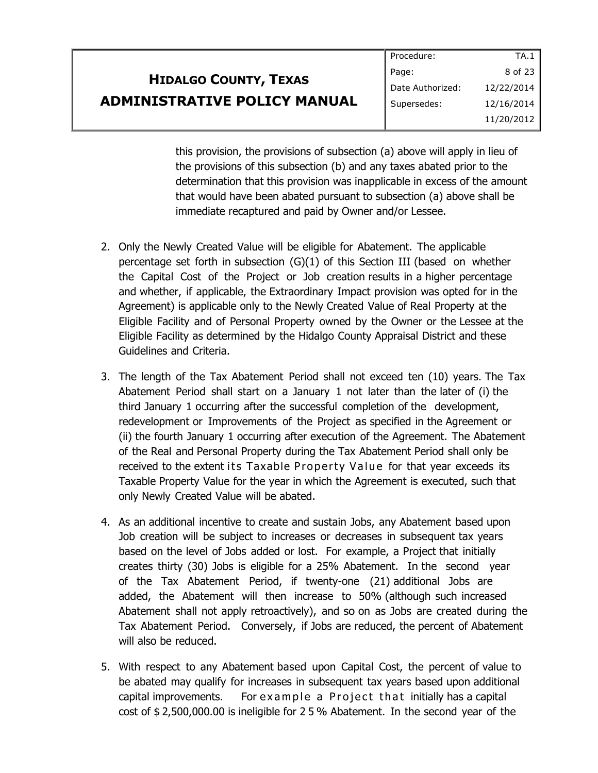|                                     | Procedure:       | TA.1       |
|-------------------------------------|------------------|------------|
| <b>HIDALGO COUNTY, TEXAS</b>        | Page:            | 8 of 23    |
|                                     | Date Authorized: | 12/22/2014 |
| <b>ADMINISTRATIVE POLICY MANUAL</b> | Supersedes:      | 12/16/2014 |
|                                     |                  | 11/20/2012 |

this provision, the provisions of subsection (a) above will apply in lieu of the provisions of this subsection (b) and any taxes abated prior to the determination that this provision was inapplicable in excess of the amount that would have been abated pursuant to subsection (a) above shall be immediate recaptured and paid by Owner and/or Lessee.

- 2. Only the Newly Created Value will be eligible for Abatement. The applicable percentage set forth in subsection (G)(1) of this Section III (based on whether the Capital Cost of the Project or Job creation results in a higher percentage and whether, if applicable, the Extraordinary Impact provision was opted for in the Agreement) is applicable only to the Newly Created Value of Real Property at the Eligible Facility and of Personal Property owned by the Owner or the Lessee at the Eligible Facility as determined by the Hidalgo County Appraisal District and these Guidelines and Criteria.
- 3. The length of the Tax Abatement Period shall not exceed ten (10) years. The Tax Abatement Period shall start on a January 1 not later than the later of (i) the third January 1 occurring after the successful completion of the development, redevelopment or Improvements of the Project as specified in the Agreement or (ii) the fourth January 1 occurring after execution of the Agreement. The Abatement of the Real and Personal Property during the Tax Abatement Period shall only be received to the extent its Taxable Property Value for that year exceeds its Taxable Property Value for the year in which the Agreement is executed, such that only Newly Created Value will be abated.
- 4. As an additional incentive to create and sustain Jobs, any Abatement based upon Job creation will be subject to increases or decreases in subsequent tax years based on the level of Jobs added or lost. For example, a Project that initially creates thirty (30) Jobs is eligible for a 25% Abatement. In the second year of the Tax Abatement Period, if twenty-one (21) additional Jobs are added, the Abatement will then increase to 50% (although such increased Abatement shall not apply retroactively), and so on as Jobs are created during the Tax Abatement Period. Conversely, if Jobs are reduced, the percent of Abatement will also be reduced.
- 5. With respect to any Abatement based upon Capital Cost, the percent of value to be abated may qualify for increases in subsequent tax years based upon additional capital improvements. For example a Project that initially has a capital cost of \$ 2,500,000.00 is ineligible for 2 5 % Abatement. In the second year of the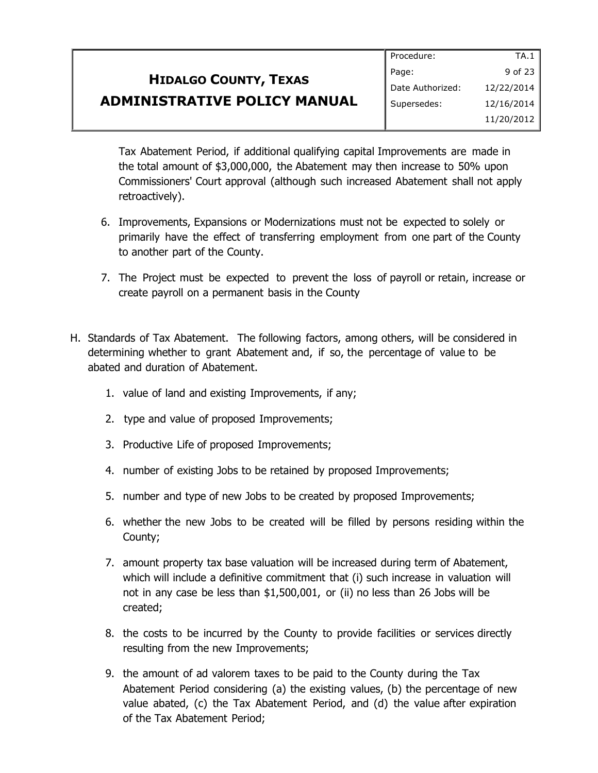|                                     | Procedure:       | TA.1        |
|-------------------------------------|------------------|-------------|
| <b>HIDALGO COUNTY, TEXAS</b>        | Page:            | 9 of 23 $ $ |
|                                     | Date Authorized: | 12/22/2014  |
| <b>ADMINISTRATIVE POLICY MANUAL</b> | Supersedes:      | 12/16/2014  |
|                                     |                  | 11/20/2012  |

Tax Abatement Period, if additional qualifying capital Improvements are made in the total amount of \$3,000,000, the Abatement may then increase to 50% upon Commissioners' Court approval (although such increased Abatement shall not apply retroactively).

- 6. Improvements, Expansions or Modernizations must not be expected to solely or primarily have the effect of transferring employment from one part of the County to another part of the County.
- 7. The Project must be expected to prevent the loss of payroll or retain, increase or create payroll on a permanent basis in the County
- H. Standards of Tax Abatement. The following factors, among others, will be considered in determining whether to grant Abatement and, if so, the percentage of value to be abated and duration of Abatement.
	- 1. value of land and existing Improvements, if any;
	- 2. type and value of proposed Improvements;
	- 3. Productive Life of proposed Improvements;
	- 4. number of existing Jobs to be retained by proposed Improvements;
	- 5. number and type of new Jobs to be created by proposed Improvements;
	- 6. whether the new Jobs to be created will be filled by persons residing within the County;
	- 7. amount property tax base valuation will be increased during term of Abatement, which will include a definitive commitment that (i) such increase in valuation will not in any case be less than \$1,500,001, or (ii) no less than 26 Jobs will be created;
	- 8. the costs to be incurred by the County to provide facilities or services directly resulting from the new Improvements;
	- 9. the amount of ad valorem taxes to be paid to the County during the Tax Abatement Period considering (a) the existing values, (b) the percentage of new value abated, (c) the Tax Abatement Period, and (d) the value after expiration of the Tax Abatement Period;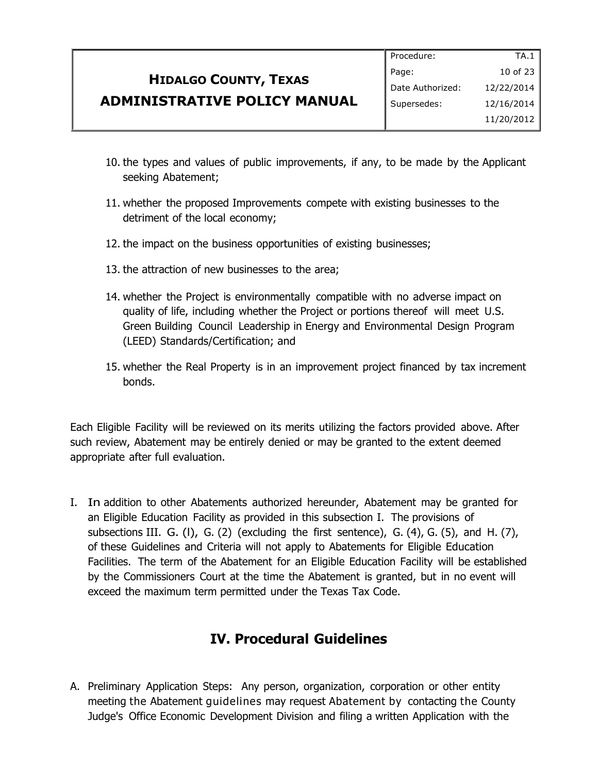|                                     | Procedure:       | TA.1         |
|-------------------------------------|------------------|--------------|
| <b>HIDALGO COUNTY, TEXAS</b>        | Page:            | 10 of 23 $ $ |
|                                     | Date Authorized: | 12/22/2014   |
| <b>ADMINISTRATIVE POLICY MANUAL</b> | Supersedes:      | 12/16/2014   |
|                                     |                  | 11/20/2012   |

- 10. the types and values of public improvements, if any, to be made by the Applicant seeking Abatement;
- 11. whether the proposed Improvements compete with existing businesses to the detriment of the local economy;
- 12. the impact on the business opportunities of existing businesses;
- 13. the attraction of new businesses to the area;
- 14. whether the Project is environmentally compatible with no adverse impact on quality of life, including whether the Project or portions thereof will meet U.S. Green Building Council Leadership in Energy and Environmental Design Program (LEED) Standards/Certification; and
- 15. whether the Real Property is in an improvement project financed by tax increment bonds.

Each Eligible Facility will be reviewed on its merits utilizing the factors provided above. After such review, Abatement may be entirely denied or may be granted to the extent deemed appropriate after full evaluation.

I. In addition to other Abatements authorized hereunder, Abatement may be granted for an Eligible Education Facility as provided in this subsection I. The provisions of subsections III. G. (I), G. (2) (excluding the first sentence), G. (4), G. (5), and H. (7), of these Guidelines and Criteria will not apply to Abatements for Eligible Education Facilities. The term of the Abatement for an Eligible Education Facility will be established by the Commissioners Court at the time the Abatement is granted, but in no event will exceed the maximum term permitted under the Texas Tax Code.

#### **IV. Procedural Guidelines**

A. Preliminary Application Steps: Any person, organization, corporation or other entity meeting the Abatement guidelines may request Abatement by contacting the County Judge's Office Economic Development Division and filing a written Application with the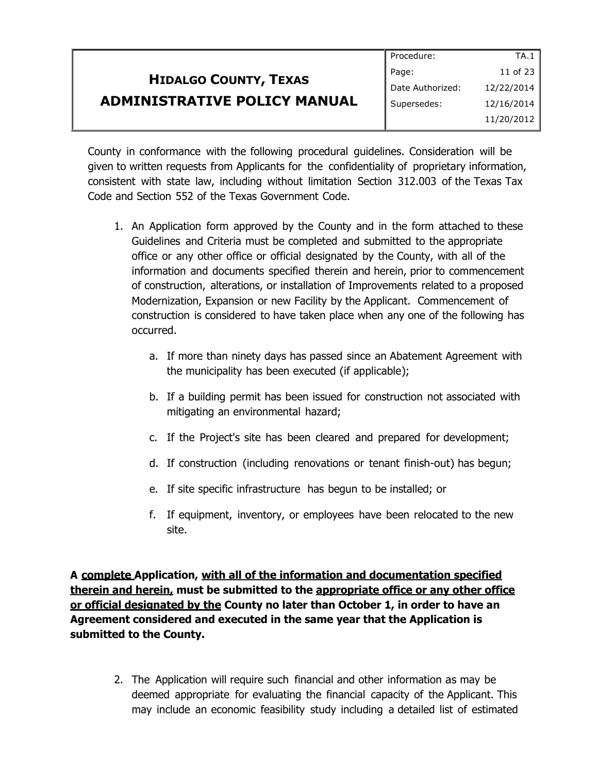|                                     | Procedure:       | TA.1         |
|-------------------------------------|------------------|--------------|
| <b>HIDALGO COUNTY, TEXAS</b>        | Page:            | 11 of 23 $ $ |
|                                     | Date Authorized: | 12/22/2014   |
| <b>ADMINISTRATIVE POLICY MANUAL</b> | Supersedes:      | 12/16/2014   |
|                                     |                  | 11/20/2012   |

County in conformance with the following procedural guidelines. Consideration will be given to written requests from Applicants for the confidentiality of proprietary information, consistent with state law, including without limitation Section 312.003 of the Texas Tax Code and Section 552 of the Texas Government Code.

- 1. An Application form approved by the County and in the form attached to these Guidelines and Criteria must be completed and submitted to the appropriate office or any other office or official designated by the County, with all of the information and documents specified therein and herein, prior to commencement of construction, alterations, or installation of Improvements related to a proposed Modernization, Expansion or new Facility by the Applicant. Commencement of construction is considered to have taken place when any one of the following has occurred.
	- a. If more than ninety days has passed since an Abatement Agreement with the municipality has been executed (if applicable);
	- b. If a building permit has been issued for construction not associated with mitigating an environmental hazard;
	- c. If the Project's site has been cleared and prepared for development;
	- d. If construction (including renovations or tenant finish-out) has begun;
	- e. If site specific infrastructure has begun to be installed; or
	- f. If equipment, inventory, or employees have been relocated to the new site.

**A complete Application, with all of the information and documentation specified therein and herein, must be submitted to the appropriate office or any other office or official designated by the County no later than October 1, in order to have an Agreement considered and executed in the same year that the Application is submitted to the County.**

2. The Application will require such financial and other information as may be deemed appropriate for evaluating the financial capacity of the Applicant. This may include an economic feasibility study including a detailed list of estimated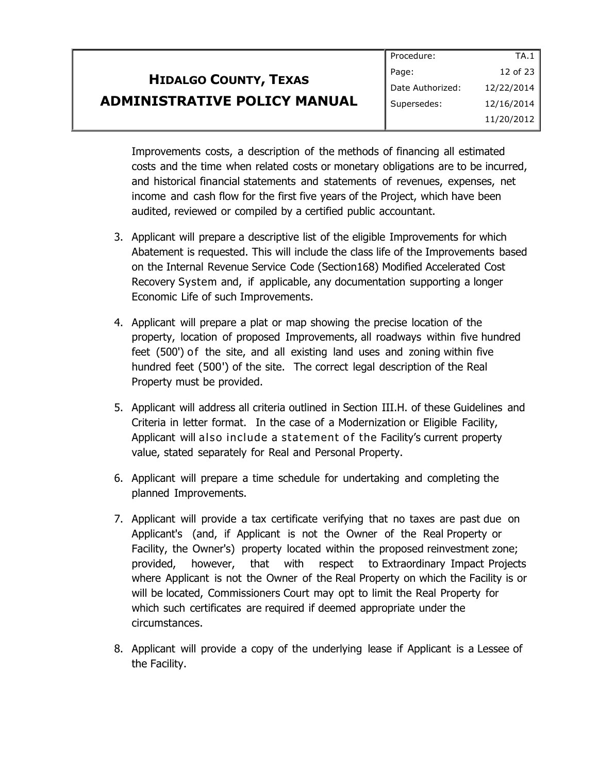|                                     | Procedure:       | TA.1       |
|-------------------------------------|------------------|------------|
| <b>HIDALGO COUNTY, TEXAS</b>        | Page:            | 12 of 23   |
|                                     | Date Authorized: | 12/22/2014 |
| <b>ADMINISTRATIVE POLICY MANUAL</b> | Supersedes:      | 12/16/2014 |
|                                     |                  | 11/20/2012 |

Improvements costs, a description of the methods of financing all estimated costs and the time when related costs or monetary obligations are to be incurred, and historical financial statements and statements of revenues, expenses, net income and cash flow for the first five years of the Project, which have been audited, reviewed or compiled by a certified public accountant.

- 3. Applicant will prepare a descriptive list of the eligible Improvements for which Abatement is requested. This will include the class life of the Improvements based on the Internal Revenue Service Code (Section168) Modified Accelerated Cost Recovery System and, if applicable, any documentation supporting a longer Economic Life of such Improvements.
- 4. Applicant will prepare a plat or map showing the precise location of the property, location of proposed Improvements, all roadways within five hundred feet (500') of the site, and all existing land uses and zoning within five hundred feet (500') of the site. The correct legal description of the Real Property must be provided.
- 5. Applicant will address all criteria outlined in Section III.H. of these Guidelines and Criteria in letter format. In the case of a Modernization or Eligible Facility, Applicant will also include a statement of the Facility's current property value, stated separately for Real and Personal Property.
- 6. Applicant will prepare a time schedule for undertaking and completing the planned Improvements.
- 7. Applicant will provide a tax certificate verifying that no taxes are past due on Applicant's (and, if Applicant is not the Owner of the Real Property or Facility, the Owner's) property located within the proposed reinvestment zone; provided, however, that with respect to Extraordinary Impact Projects where Applicant is not the Owner of the Real Property on which the Facility is or will be located, Commissioners Court may opt to limit the Real Property for which such certificates are required if deemed appropriate under the circumstances.
- 8. Applicant will provide a copy of the underlying lease if Applicant is a Lessee of the Facility.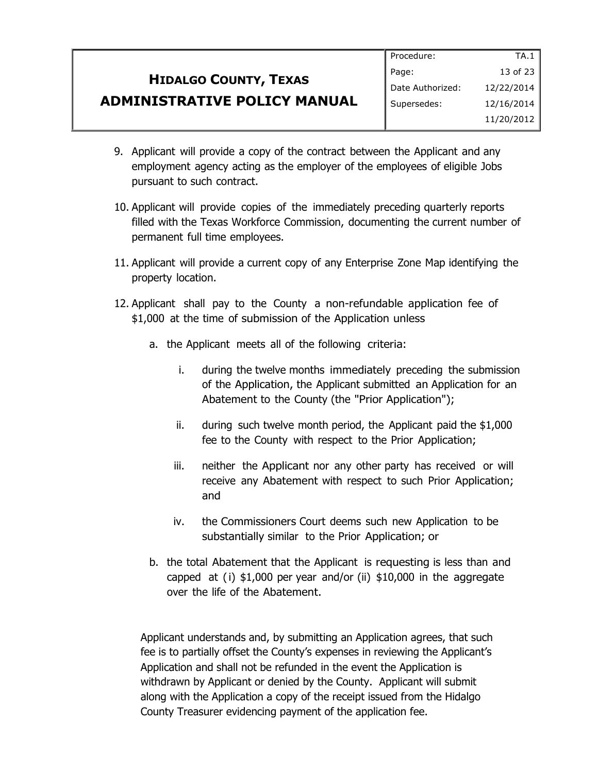|                                     | Procedure:       | TA.1       |
|-------------------------------------|------------------|------------|
| <b>HIDALGO COUNTY, TEXAS</b>        | Page:            | 13 of 23   |
|                                     | Date Authorized: | 12/22/2014 |
| <b>ADMINISTRATIVE POLICY MANUAL</b> | Supersedes:      | 12/16/2014 |
|                                     |                  | 11/20/2012 |

- 9. Applicant will provide a copy of the contract between the Applicant and any employment agency acting as the employer of the employees of eligible Jobs pursuant to such contract.
- 10. Applicant will provide copies of the immediately preceding quarterly reports filled with the Texas Workforce Commission, documenting the current number of permanent full time employees.
- 11. Applicant will provide a current copy of any Enterprise Zone Map identifying the property location.
- 12. Applicant shall pay to the County a non-refundable application fee of \$1,000 at the time of submission of the Application unless
	- a. the Applicant meets all of the following criteria:
		- i. during the twelve months immediately preceding the submission of the Application, the Applicant submitted an Application for an Abatement to the County (the "Prior Application");
		- ii. during such twelve month period, the Applicant paid the \$1,000 fee to the County with respect to the Prior Application;
		- iii. neither the Applicant nor any other party has received or will receive any Abatement with respect to such Prior Application; and
		- iv. the Commissioners Court deems such new Application to be substantially similar to the Prior Application; or
	- b. the total Abatement that the Applicant is requesting is less than and capped at (i) \$1,000 per year and/or (ii) \$10,000 in the aggregate over the life of the Abatement.

Applicant understands and, by submitting an Application agrees, that such fee is to partially offset the County's expenses in reviewing the Applicant's Application and shall not be refunded in the event the Application is withdrawn by Applicant or denied by the County. Applicant will submit along with the Application a copy of the receipt issued from the Hidalgo County Treasurer evidencing payment of the application fee.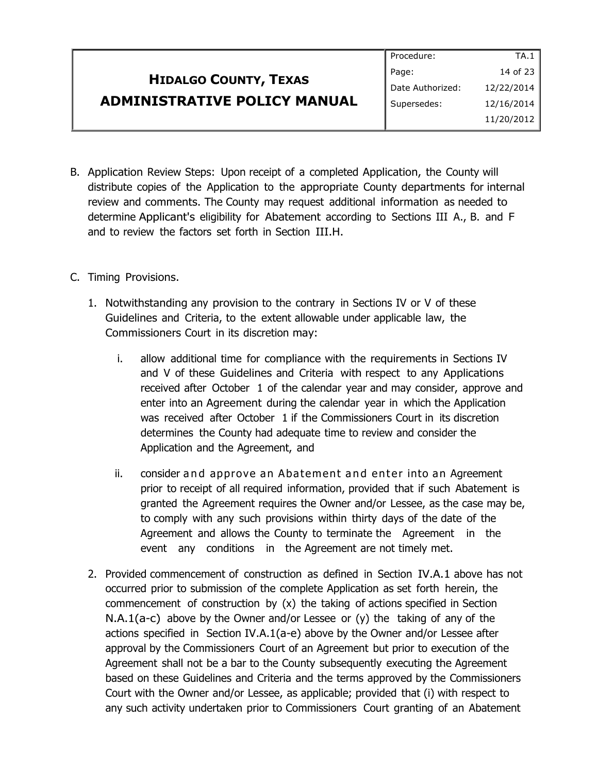#### **HIDALGO COUNTY, TEXAS ADMINISTRATIVE POLICY MANUAL** Procedure: Page: Date Authorized: Supersedes: TA.1 14 of 23 12/22/2014 12/16/2014 11/20/2012

- B. Application Review Steps: Upon receipt of a completed Application, the County will distribute copies of the Application to the appropriate County departments for internal review and comments. The County may request additional information as needed to determine Applicant's eligibility for Abatement according to Sections III A., B. and F and to review the factors set forth in Section III.H.
- C. Timing Provisions.
	- 1. Notwithstanding any provision to the contrary in Sections IV or V of these Guidelines and Criteria, to the extent allowable under applicable law, the Commissioners Court in its discretion may:
		- i. allow additional time for compliance with the requirements in Sections IV and V of these Guidelines and Criteria with respect to any Applications received after October 1 of the calendar year and may consider, approve and enter into an Agreement during the calendar year in which the Application was received after October 1 if the Commissioners Court in its discretion determines the County had adequate time to review and consider the Application and the Agreement, and
		- ii. consider and approve an Abatement and enter into an Agreement prior to receipt of all required information, provided that if such Abatement is granted the Agreement requires the Owner and/or Lessee, as the case may be, to comply with any such provisions within thirty days of the date of the Agreement and allows the County to terminate the Agreement in the event any conditions in the Agreement are not timely met.
	- 2. Provided commencement of construction as defined in Section IV.A.1 above has not occurred prior to submission of the complete Application as set forth herein, the commencement of construction by  $(x)$  the taking of actions specified in Section N.A.1(a-c) above by the Owner and/or Lessee or  $(y)$  the taking of any of the actions specified in Section IV.A.1(a-e) above by the Owner and/or Lessee after approval by the Commissioners Court of an Agreement but prior to execution of the Agreement shall not be a bar to the County subsequently executing the Agreement based on these Guidelines and Criteria and the terms approved by the Commissioners Court with the Owner and/or Lessee, as applicable; provided that (i) with respect to any such activity undertaken prior to Commissioners Court granting of an Abatement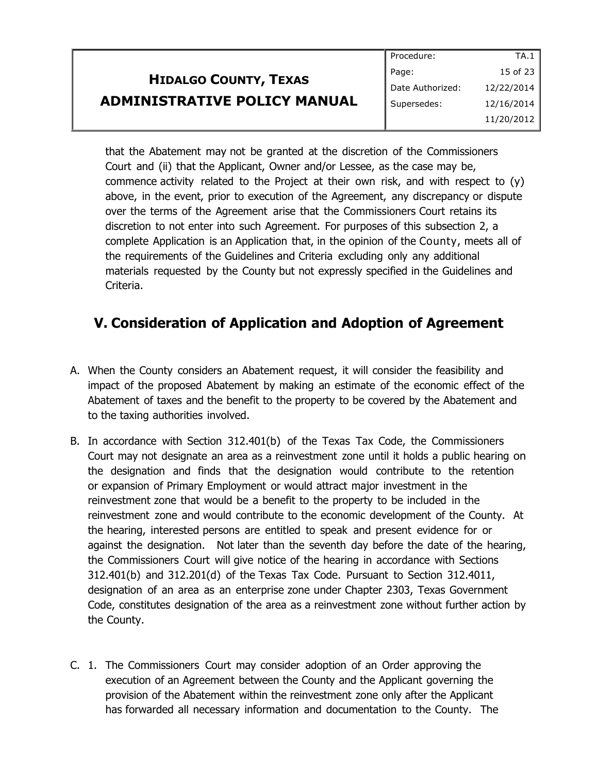|                                     | Procedure:       | TA.1       |
|-------------------------------------|------------------|------------|
| <b>HIDALGO COUNTY, TEXAS</b>        | Page:            | 15 of 23   |
|                                     | Date Authorized: | 12/22/2014 |
| <b>ADMINISTRATIVE POLICY MANUAL</b> | Supersedes:      | 12/16/2014 |
|                                     |                  | 11/20/2012 |

that the Abatement may not be granted at the discretion of the Commissioners Court and (ii) that the Applicant, Owner and/or Lessee, as the case may be, commence activity related to the Project at their own risk, and with respect to  $(y)$ above, in the event, prior to execution of the Agreement, any discrepancy or dispute over the terms of the Agreement arise that the Commissioners Court retains its discretion to not enter into such Agreement. For purposes of this subsection 2, a complete Application is an Application that, in the opinion of the County, meets all of the requirements of the Guidelines and Criteria excluding only any additional materials requested by the County but not expressly specified in the Guidelines and Criteria.

### **V. Consideration of Application and Adoption of Agreement**

- A. When the County considers an Abatement request, it will consider the feasibility and impact of the proposed Abatement by making an estimate of the economic effect of the Abatement of taxes and the benefit to the property to be covered by the Abatement and to the taxing authorities involved.
- B. In accordance with Section 312.401(b) of the Texas Tax Code, the Commissioners Court may not designate an area as a reinvestment zone until it holds a public hearing on the designation and finds that the designation would contribute to the retention or expansion of Primary Employment or would attract major investment in the reinvestment zone that would be a benefit to the property to be included in the reinvestment zone and would contribute to the economic development of the County. At the hearing, interested persons are entitled to speak and present evidence for or against the designation. Not later than the seventh day before the date of the hearing, the Commissioners Court will give notice of the hearing in accordance with Sections 312.401(b) and 312.201(d) of the Texas Tax Code. Pursuant to Section 312.4011, designation of an area as an enterprise zone under Chapter 2303, Texas Government Code, constitutes designation of the area as a reinvestment zone without further action by the County.
- C. 1. The Commissioners Court may consider adoption of an Order approving the execution of an Agreement between the County and the Applicant governing the provision of the Abatement within the reinvestment zone only after the Applicant has forwarded all necessary information and documentation to the County. The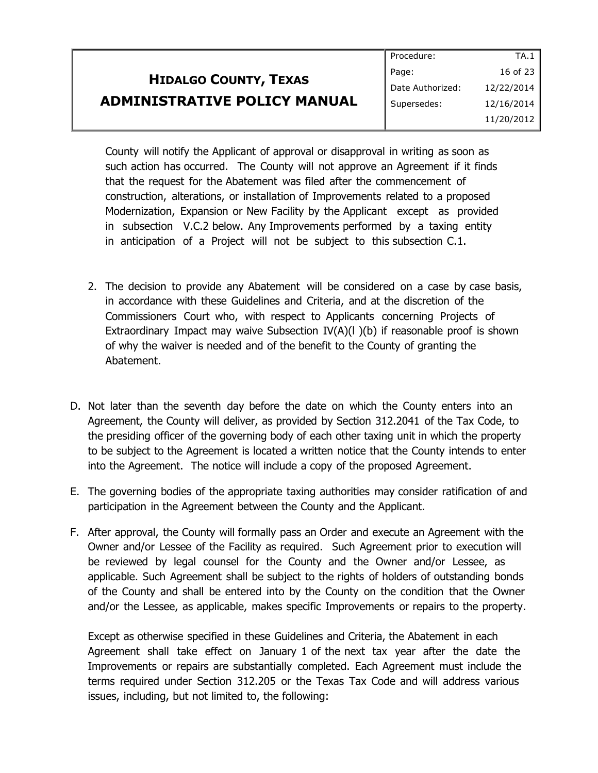|                                     | Procedure:       | TA.1       |
|-------------------------------------|------------------|------------|
| <b>HIDALGO COUNTY, TEXAS</b>        | Page:            | 16 of 23   |
|                                     | Date Authorized: | 12/22/2014 |
| <b>ADMINISTRATIVE POLICY MANUAL</b> | Supersedes:      | 12/16/2014 |
|                                     |                  | 11/20/2012 |

County will notify the Applicant of approval or disapproval in writing as soon as such action has occurred. The County will not approve an Agreement if it finds that the request for the Abatement was filed after the commencement of construction, alterations, or installation of Improvements related to a proposed Modernization, Expansion or New Facility by the Applicant except as provided in subsection V.C.2 below. Any Improvements performed by a taxing entity in anticipation of a Project will not be subject to this subsection C.1.

- 2. The decision to provide any Abatement will be considered on a case by case basis, in accordance with these Guidelines and Criteria, and at the discretion of the Commissioners Court who, with respect to Applicants concerning Projects of Extraordinary Impact may waive Subsection  $IV(A)(I)(b)$  if reasonable proof is shown of why the waiver is needed and of the benefit to the County of granting the Abatement.
- D. Not later than the seventh day before the date on which the County enters into an Agreement, the County will deliver, as provided by Section 312.2041 of the Tax Code, to the presiding officer of the governing body of each other taxing unit in which the property to be subject to the Agreement is located a written notice that the County intends to enter into the Agreement. The notice will include a copy of the proposed Agreement.
- E. The governing bodies of the appropriate taxing authorities may consider ratification of and participation in the Agreement between the County and the Applicant.
- F. After approval, the County will formally pass an Order and execute an Agreement with the Owner and/or Lessee of the Facility as required. Such Agreement prior to execution will be reviewed by legal counsel for the County and the Owner and/or Lessee, as applicable. Such Agreement shall be subject to the rights of holders of outstanding bonds of the County and shall be entered into by the County on the condition that the Owner and/or the Lessee, as applicable, makes specific Improvements or repairs to the property.

Except as otherwise specified in these Guidelines and Criteria, the Abatement in each Agreement shall take effect on January 1 of the next tax year after the date the Improvements or repairs are substantially completed. Each Agreement must include the terms required under Section 312.205 or the Texas Tax Code and will address various issues, including, but not limited to, the following: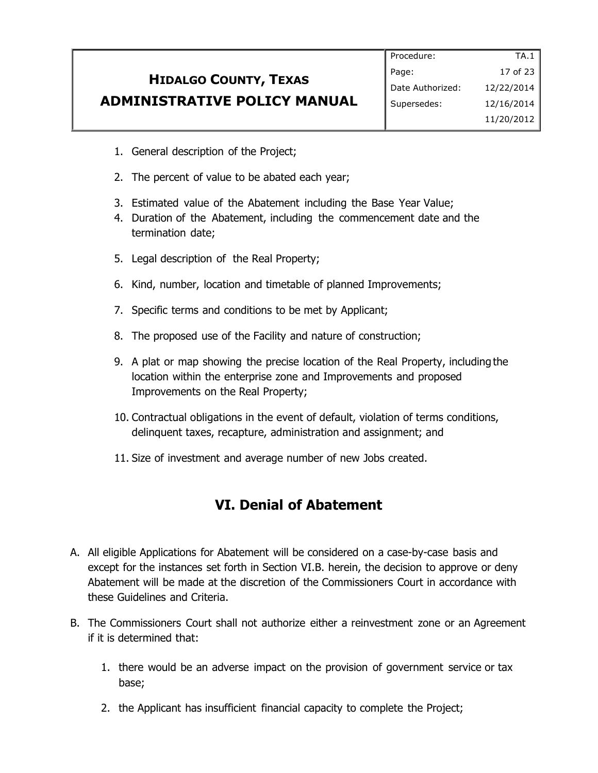|                                     | Procedure:       | TA.1       |
|-------------------------------------|------------------|------------|
| <b>HIDALGO COUNTY, TEXAS</b>        | Page:            | 17 of 23   |
|                                     | Date Authorized: | 12/22/2014 |
| <b>ADMINISTRATIVE POLICY MANUAL</b> | Supersedes:      | 12/16/2014 |
|                                     |                  | 11/20/2012 |

- 1. General description of the Project;
- 2. The percent of value to be abated each year;
- 3. Estimated value of the Abatement including the Base Year Value;
- 4. Duration of the Abatement, including the commencement date and the termination date;
- 5. Legal description of the Real Property;
- 6. Kind, number, location and timetable of planned Improvements;
- 7. Specific terms and conditions to be met by Applicant;
- 8. The proposed use of the Facility and nature of construction;
- 9. A plat or map showing the precise location of the Real Property, including the location within the enterprise zone and Improvements and proposed Improvements on the Real Property;
- 10. Contractual obligations in the event of default, violation of terms conditions, delinquent taxes, recapture, administration and assignment; and
- 11. Size of investment and average number of new Jobs created.

#### **VI. Denial of Abatement**

- A. All eligible Applications for Abatement will be considered on a case-by-case basis and except for the instances set forth in Section VI.B. herein, the decision to approve or deny Abatement will be made at the discretion of the Commissioners Court in accordance with these Guidelines and Criteria.
- B. The Commissioners Court shall not authorize either a reinvestment zone or an Agreement if it is determined that:
	- 1. there would be an adverse impact on the provision of government service or tax base;
	- 2. the Applicant has insufficient financial capacity to complete the Project;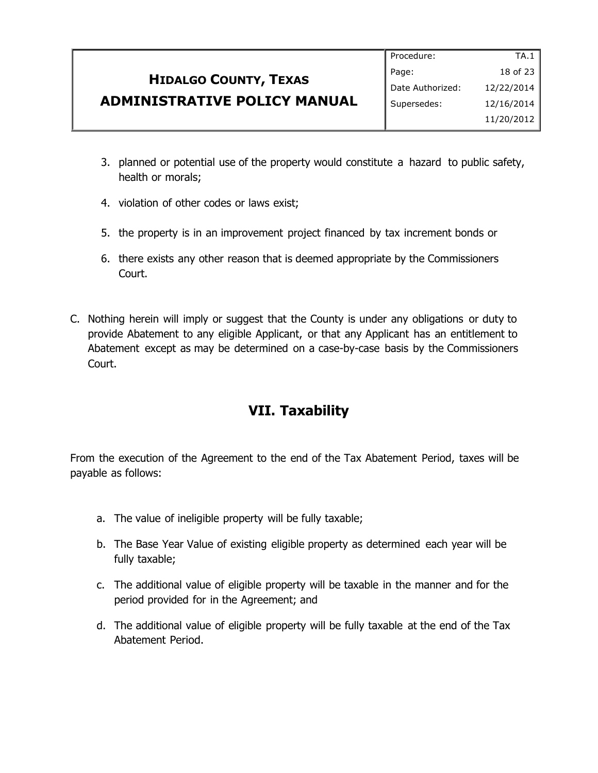|                                                                     | Procedure:       | TA.1         |
|---------------------------------------------------------------------|------------------|--------------|
| <b>HIDALGO COUNTY, TEXAS</b><br><b>ADMINISTRATIVE POLICY MANUAL</b> | Page:            | 18 of 23 $ $ |
|                                                                     | Date Authorized: | 12/22/2014   |
|                                                                     | Supersedes:      | 12/16/2014   |
|                                                                     |                  | 11/20/2012   |

- 3. planned or potential use of the property would constitute a hazard to public safety, health or morals;
- 4. violation of other codes or laws exist;
- 5. the property is in an improvement project financed by tax increment bonds or
- 6. there exists any other reason that is deemed appropriate by the Commissioners Court.
- C. Nothing herein will imply or suggest that the County is under any obligations or duty to provide Abatement to any eligible Applicant, or that any Applicant has an entitlement to Abatement except as may be determined on a case-by-case basis by the Commissioners Court.

### **VII. Taxability**

From the execution of the Agreement to the end of the Tax Abatement Period, taxes will be payable as follows:

- a. The value of ineligible property will be fully taxable;
- b. The Base Year Value of existing eligible property as determined each year will be fully taxable;
- c. The additional value of eligible property will be taxable in the manner and for the period provided for in the Agreement; and
- d. The additional value of eligible property will be fully taxable at the end of the Tax Abatement Period.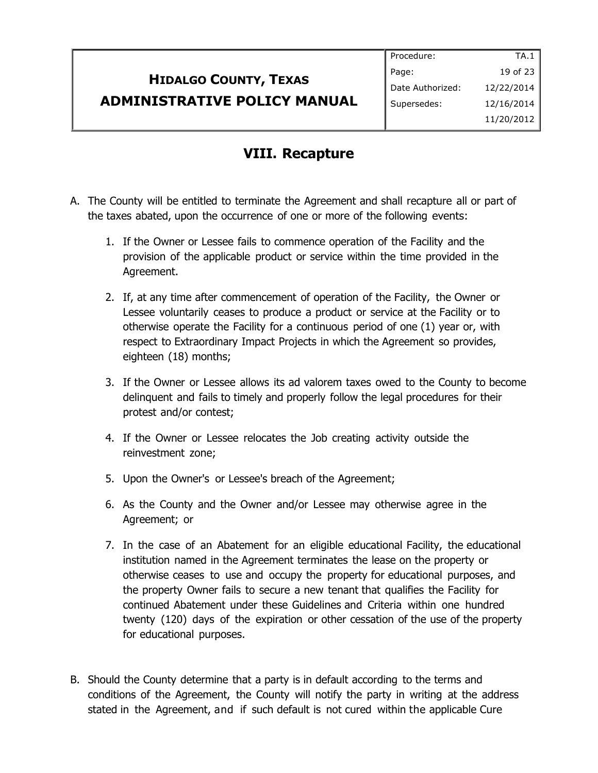|                                                                     | Procedure:       | TA.1         |
|---------------------------------------------------------------------|------------------|--------------|
| <b>HIDALGO COUNTY, TEXAS</b><br><b>ADMINISTRATIVE POLICY MANUAL</b> | Page:            | 19 of 23 $ $ |
|                                                                     | Date Authorized: | 12/22/2014   |
|                                                                     | Supersedes:      | 12/16/2014   |
|                                                                     |                  | 11/20/2012   |

#### **VIII. Recapture**

- A. The County will be entitled to terminate the Agreement and shall recapture all or part of the taxes abated, upon the occurrence of one or more of the following events:
	- 1. If the Owner or Lessee fails to commence operation of the Facility and the provision of the applicable product or service within the time provided in the Agreement.
	- 2. If, at any time after commencement of operation of the Facility, the Owner or Lessee voluntarily ceases to produce a product or service at the Facility or to otherwise operate the Facility for a continuous period of one (1) year or, with respect to Extraordinary Impact Projects in which the Agreement so provides, eighteen (18) months;
	- 3. If the Owner or Lessee allows its ad valorem taxes owed to the County to become delinquent and fails to timely and properly follow the legal procedures for their protest and/or contest;
	- 4. If the Owner or Lessee relocates the Job creating activity outside the reinvestment zone;
	- 5. Upon the Owner's or Lessee's breach of the Agreement;
	- 6. As the County and the Owner and/or Lessee may otherwise agree in the Agreement; or
	- 7. In the case of an Abatement for an eligible educational Facility, the educational institution named in the Agreement terminates the lease on the property or otherwise ceases to use and occupy the property for educational purposes, and the property Owner fails to secure a new tenant that qualifies the Facility for continued Abatement under these Guidelines and Criteria within one hundred twenty (120) days of the expiration or other cessation of the use of the property for educational purposes.
- B. Should the County determine that a party is in default according to the terms and conditions of the Agreement, the County will notify the party in writing at the address stated in the Agreement, and if such default is not cured within the applicable Cure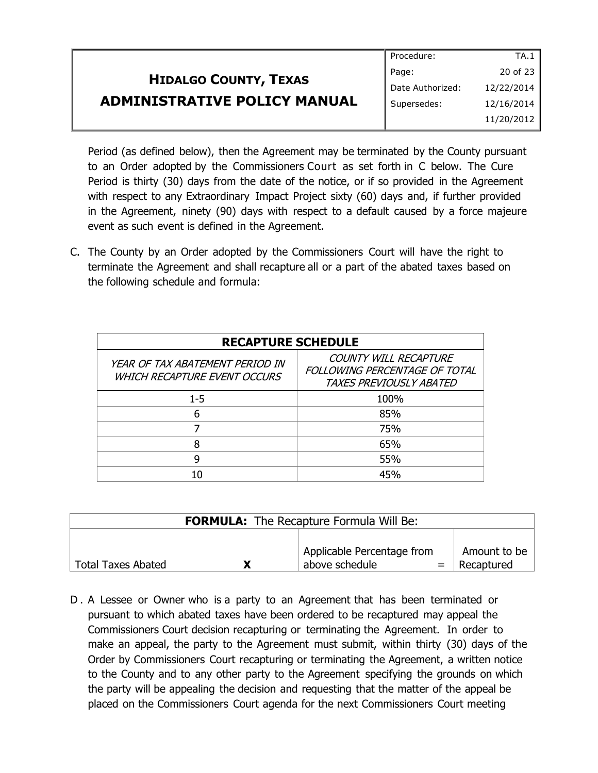|                                                                     | Procedure:       | TA.1       |
|---------------------------------------------------------------------|------------------|------------|
| <b>HIDALGO COUNTY, TEXAS</b><br><b>ADMINISTRATIVE POLICY MANUAL</b> | Page:            | 20 of 23   |
|                                                                     | Date Authorized: | 12/22/2014 |
|                                                                     | Supersedes:      | 12/16/2014 |
|                                                                     |                  | 11/20/2012 |

Period (as defined below), then the Agreement may be terminated by the County pursuant to an Order adopted by the Commissioners Court as set forth in C below. The Cure Period is thirty (30) days from the date of the notice, or if so provided in the Agreement with respect to any Extraordinary Impact Project sixty (60) days and, if further provided in the Agreement, ninety (90) days with respect to a default caused by a force majeure event as such event is defined in the Agreement.

C. The County by an Order adopted by the Commissioners Court will have the right to terminate the Agreement and shall recapture all or a part of the abated taxes based on the following schedule and formula:

| <b>RECAPTURE SCHEDULE</b>                                              |                                                                                   |  |
|------------------------------------------------------------------------|-----------------------------------------------------------------------------------|--|
| YEAR OF TAX ABATEMENT PERIOD IN<br><b>WHICH RECAPTURE EVENT OCCURS</b> | COUNTY WILL RECAPTURE<br>FOLLOWING PERCENTAGE OF TOTAL<br>TAXES PREVIOUSLY ABATED |  |
| $1 - 5$                                                                | 100%                                                                              |  |
| 6                                                                      | 85%                                                                               |  |
|                                                                        | 75%                                                                               |  |
| я                                                                      | 65%                                                                               |  |
| g                                                                      | 55%                                                                               |  |
|                                                                        | 45%                                                                               |  |

| <b>FORMULA:</b> The Recapture Formula Will Be: |   |                            |              |
|------------------------------------------------|---|----------------------------|--------------|
|                                                |   | Applicable Percentage from | Amount to be |
| <b>Total Taxes Abated</b>                      | χ | above schedule             | Recaptured   |

D . A Lessee or Owner who is a party to an Agreement that has been terminated or pursuant to which abated taxes have been ordered to be recaptured may appeal the Commissioners Court decision recapturing or terminating the Agreement. In order to make an appeal, the party to the Agreement must submit, within thirty (30) days of the Order by Commissioners Court recapturing or terminating the Agreement, a written notice to the County and to any other party to the Agreement specifying the grounds on which the party will be appealing the decision and requesting that the matter of the appeal be placed on the Commissioners Court agenda for the next Commissioners Court meeting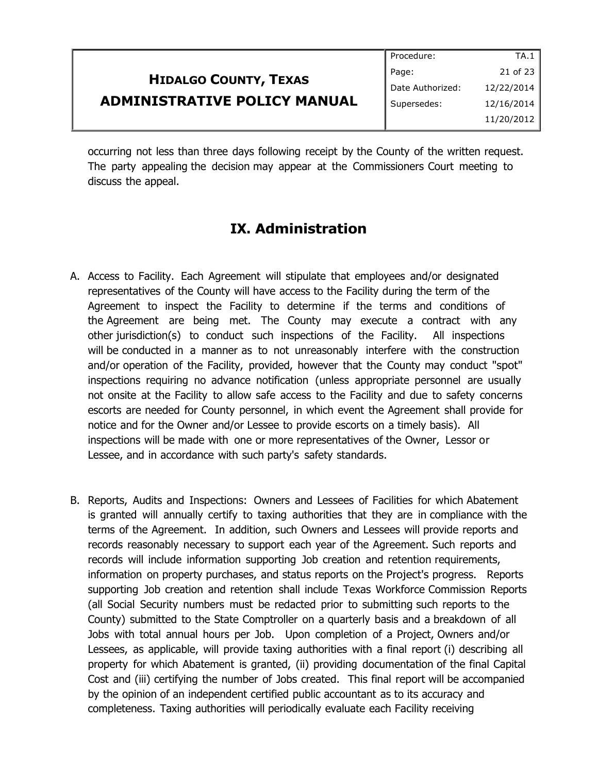|                                                                     | Procedure:       | TA.1         |
|---------------------------------------------------------------------|------------------|--------------|
| <b>HIDALGO COUNTY, TEXAS</b><br><b>ADMINISTRATIVE POLICY MANUAL</b> | Page:            | 21 of 23 $ $ |
|                                                                     | Date Authorized: | 12/22/2014   |
|                                                                     | Supersedes:      | 12/16/2014   |
|                                                                     |                  | 11/20/2012   |

occurring not less than three days following receipt by the County of the written request. The party appealing the decision may appear at the Commissioners Court meeting to discuss the appeal.

#### **IX. Administration**

- A. Access to Facility. Each Agreement will stipulate that employees and/or designated representatives of the County will have access to the Facility during the term of the Agreement to inspect the Facility to determine if the terms and conditions of the Agreement are being met. The County may execute a contract with any other jurisdiction(s) to conduct such inspections of the Facility. All inspections will be conducted in a manner as to not unreasonably interfere with the construction and/or operation of the Facility, provided, however that the County may conduct "spot" inspections requiring no advance notification (unless appropriate personnel are usually not onsite at the Facility to allow safe access to the Facility and due to safety concerns escorts are needed for County personnel, in which event the Agreement shall provide for notice and for the Owner and/or Lessee to provide escorts on a timely basis). All inspections will be made with one or more representatives of the Owner, Lessor or Lessee, and in accordance with such party's safety standards.
- B. Reports, Audits and Inspections: Owners and Lessees of Facilities for which Abatement is granted will annually certify to taxing authorities that they are in compliance with the terms of the Agreement. In addition, such Owners and Lessees will provide reports and records reasonably necessary to support each year of the Agreement. Such reports and records will include information supporting Job creation and retention requirements, information on property purchases, and status reports on the Project's progress. Reports supporting Job creation and retention shall include Texas Workforce Commission Reports (all Social Security numbers must be redacted prior to submitting such reports to the County) submitted to the State Comptroller on a quarterly basis and a breakdown of all Jobs with total annual hours per Job. Upon completion of a Project, Owners and/or Lessees, as applicable, will provide taxing authorities with a final report (i) describing all property for which Abatement is granted, (ii) providing documentation of the final Capital Cost and (iii) certifying the number of Jobs created. This final report will be accompanied by the opinion of an independent certified public accountant as to its accuracy and completeness. Taxing authorities will periodically evaluate each Facility receiving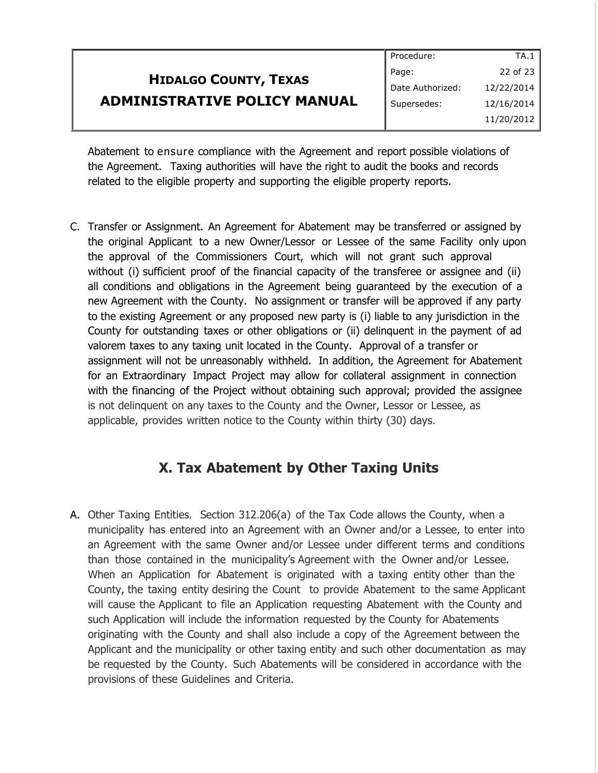|                                                                     | Procedure:       | TA.1       |
|---------------------------------------------------------------------|------------------|------------|
| <b>HIDALGO COUNTY, TEXAS</b><br><b>ADMINISTRATIVE POLICY MANUAL</b> | Page:            | 22 of 23   |
|                                                                     | Date Authorized: | 12/22/2014 |
|                                                                     | Supersedes:      | 12/16/2014 |
|                                                                     |                  | 11/20/2012 |

Abatement to ensure compliance with the Agreement and report possible violations of the Agreement. Taxing authorities will have the right to audit the books and records related to the eligible property and supporting the eligible property reports.

C. Transfer or Assignment. An Agreement for Abatement may be transferred or assigned by the original Applicant to a new Owner/Lessor or Lessee of the same Facility only upon the approval of the Commissioners Court, which will not grant such approval without (i) sufficient proof of the financial capacity of the transferee or assignee and (ii) all conditions and obligations in the Agreement being guaranteed by the execution of a new Agreement with the County. No assignment or transfer will be approved if any party to the existing Agreement or any proposed new party is (i) liable to any jurisdiction in the County for outstanding taxes or other obligations or (ii) delinquent in the payment of ad valorem taxes to any taxing unit located in the County. Approval of a transfer or assignment will not be unreasonably withheld. In addition, the Agreement for Abatement for an Extraordinary Impact Project may allow for collateral assignment in connection with the financing of the Project without obtaining such approval; provided the assignee is not delinquent on any taxes to the County and the Owner, Lessor or Lessee, as applicable, provides written notice to the County within thirty (30) days.

#### **X. Tax Abatement by Other Taxing Units**

A. Other Taxing Entities. Section 312.206(a) of the Tax Code allows the County, when a municipality has entered into an Agreement with an Owner and/or a Lessee, to enter into an Agreement with the same Owner and/or Lessee under different terms and conditions than those contained in the municipality's Agreement with the Owner and/or Lessee. When an Application for Abatement is originated with a taxing entity other than the County, the taxing entity desiring the Count to provide Abatement to the same Applicant will cause the Applicant to file an Application requesting Abatement with the County and such Application will include the information requested by the County for Abatements originating with the County and shall also include a copy of the Agreement between the Applicant and the municipality or other taxing entity and such other documentation as may be requested by the County. Such Abatements will be considered in accordance with the provisions of these Guidelines and Criteria.